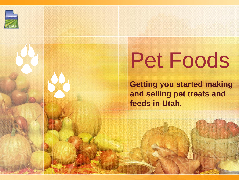

# Pet Foods

**Getting you started making and selling pet treats and feeds in Utah.**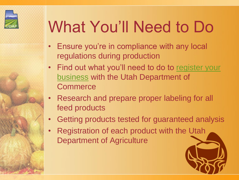

# What You'll Need to Do

- Ensure you're in compliance with any local regulations during production
- Find out what you'll need to do to [register your](http://corporations.utah.gov/business/whyregs.html)  [business](http://corporations.utah.gov/business/whyregs.html) with the Utah Department of **Commerce**
- Research and prepare proper labeling for all feed products
- Getting products tested for guaranteed analysis
- Registration of each product with the Utah Department of Agriculture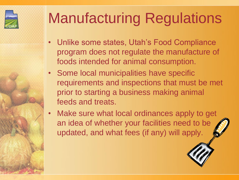

## Manufacturing Regulations

- Unlike some states, Utah's Food Compliance program does not regulate the manufacture of foods intended for animal consumption.
- Some local municipalities have specific requirements and inspections that must be met prior to starting a business making animal feeds and treats.
- Make sure what local ordinances apply to get an idea of whether your facilities need to be updated, and what fees (if any) will apply.

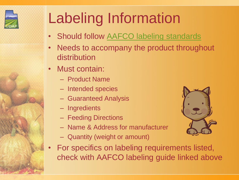

# Labeling Information

- Should follow [AAFCO labeling standards](http://www.petfood.aafco.org/labelinglabelingrequirements.aspx)
- Needs to accompany the product throughout distribution
- Must contain:
	- Product Name
	- Intended species
	- Guaranteed Analysis
	- Ingredients
	- Feeding Directions
	- Name & Address for manufacturer
	- Quantity (weight or amount)
- For specifics on labeling requirements listed, check with AAFCO labeling guide linked above

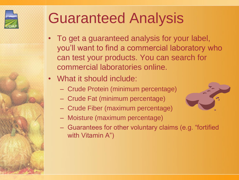

#### Guaranteed Analysis

- To get a guaranteed analysis for your label, you'll want to find a commercial laboratory who can test your products. You can search for commercial laboratories online.
- What it should include:
	- Crude Protein (minimum percentage)
	- Crude Fat (minimum percentage)
	- Crude Fiber (maximum percentage)
	- Moisture (maximum percentage)
	- Guarantees for other voluntary claims (e.g. "fortified with Vitamin A")

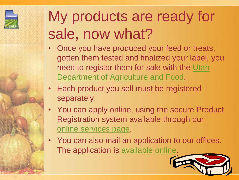

### My products are ready for sale, now what?

- Once you have produced your feed or treats, gotten them tested and finalized your label, you need to register them for sale with the [Utah](http://ag.utah.gov/plants-pests/66-licenses-regulations-and-registration/licenses/195-feed-registration.html)  [Department of Agriculture and Food.](http://ag.utah.gov/plants-pests/66-licenses-regulations-and-registration/licenses/195-feed-registration.html)
- Each product you sell must be registered separately.
- You can apply online, using the secure Product Registration system available through our [online services page](http://ag.utah.gov/online-services.html).
- You can also mail an application to our offices. The application is [available online](http://ag.utah.gov/documents/FeedRegistration.pdf).